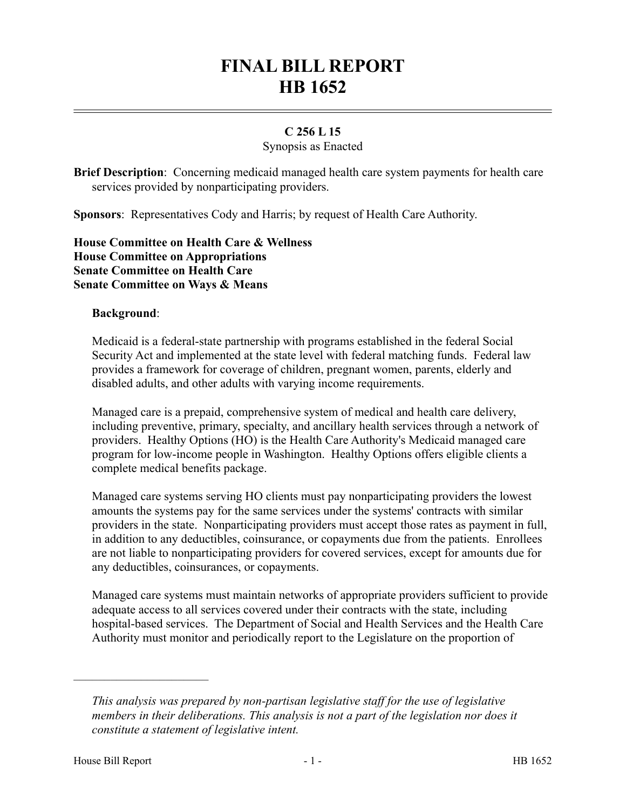# **FINAL BILL REPORT HB 1652**

## **C 256 L 15**

### Synopsis as Enacted

**Brief Description**: Concerning medicaid managed health care system payments for health care services provided by nonparticipating providers.

**Sponsors**: Representatives Cody and Harris; by request of Health Care Authority.

**House Committee on Health Care & Wellness House Committee on Appropriations Senate Committee on Health Care Senate Committee on Ways & Means**

#### **Background**:

Medicaid is a federal-state partnership with programs established in the federal Social Security Act and implemented at the state level with federal matching funds. Federal law provides a framework for coverage of children, pregnant women, parents, elderly and disabled adults, and other adults with varying income requirements.

Managed care is a prepaid, comprehensive system of medical and health care delivery, including preventive, primary, specialty, and ancillary health services through a network of providers. Healthy Options (HO) is the Health Care Authority's Medicaid managed care program for low-income people in Washington. Healthy Options offers eligible clients a complete medical benefits package.

Managed care systems serving HO clients must pay nonparticipating providers the lowest amounts the systems pay for the same services under the systems' contracts with similar providers in the state. Nonparticipating providers must accept those rates as payment in full, in addition to any deductibles, coinsurance, or copayments due from the patients. Enrollees are not liable to nonparticipating providers for covered services, except for amounts due for any deductibles, coinsurances, or copayments.

Managed care systems must maintain networks of appropriate providers sufficient to provide adequate access to all services covered under their contracts with the state, including hospital-based services. The Department of Social and Health Services and the Health Care Authority must monitor and periodically report to the Legislature on the proportion of

––––––––––––––––––––––

*This analysis was prepared by non-partisan legislative staff for the use of legislative members in their deliberations. This analysis is not a part of the legislation nor does it constitute a statement of legislative intent.*